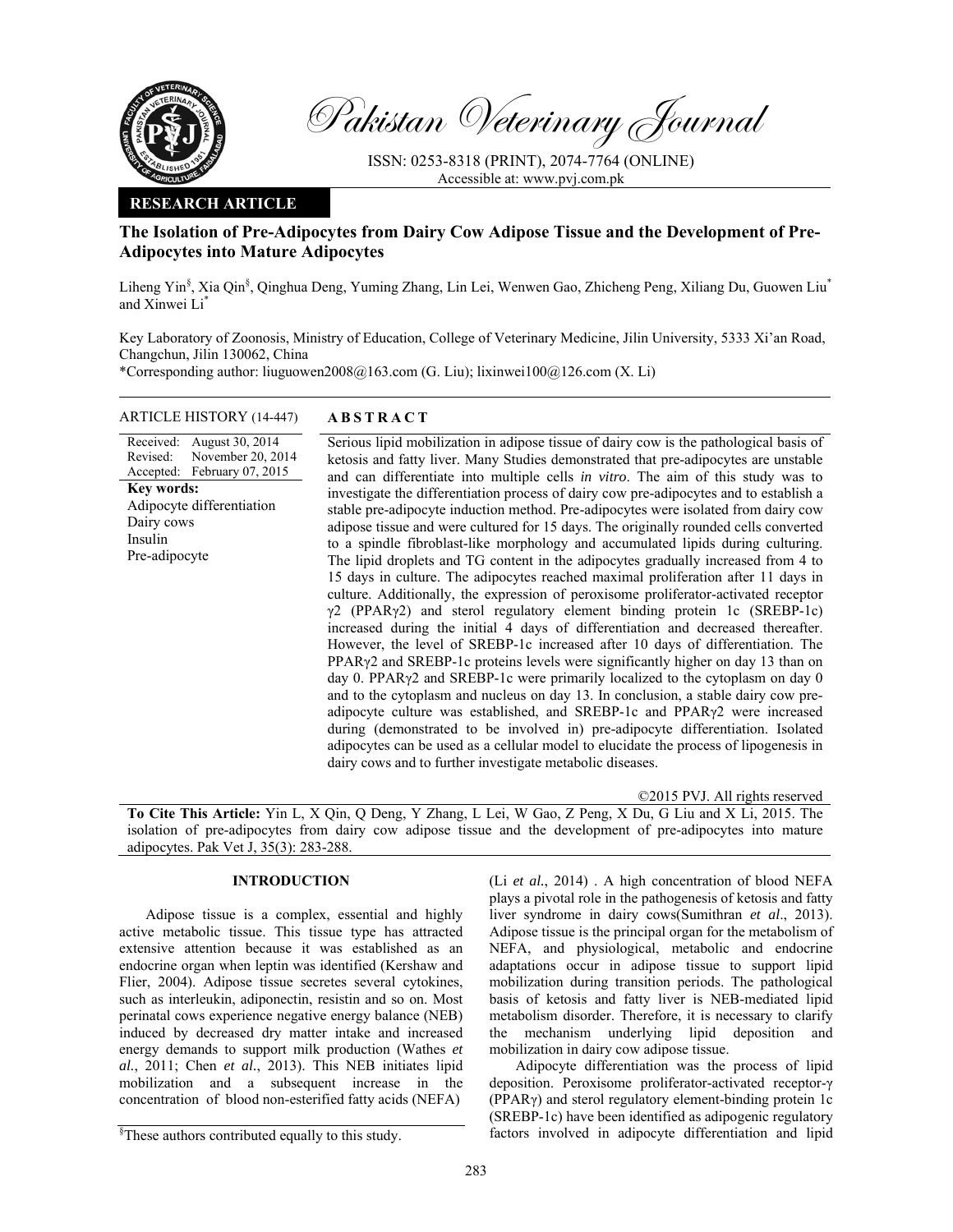

Pakistan Veterinary Journal

ISSN: 0253-8318 (PRINT), 2074-7764 (ONLINE) Accessible at: www.pvj.com.pk

## **RESEARCH ARTICLE**

# **The Isolation of Pre-Adipocytes from Dairy Cow Adipose Tissue and the Development of Pre-Adipocytes into Mature Adipocytes**

Liheng Yin<sup>§</sup>, Xia Qin<sup>§</sup>, Qinghua Deng, Yuming Zhang, Lin Lei, Wenwen Gao, Zhicheng Peng, Xiliang Du, Guowen Liu<sup>\*</sup> and Xinwei Li\*

Key Laboratory of Zoonosis, Ministry of Education, College of Veterinary Medicine, Jilin University, 5333 Xi'an Road, Changchun, Jilin 130062, China

\*Corresponding author: liuguowen2008@163.com (G. Liu); lixinwei100@126.com (X. Li)

### ARTICLE HISTORY (14-447) **ABSTRACT**

Revised: Accepted: November 20, 2014 February 07, 2015 **Key words:**  Adipocyte differentiation Dairy cows Insulin Pre-adipocyte

Received: August 30, 2014

 Serious lipid mobilization in adipose tissue of dairy cow is the pathological basis of ketosis and fatty liver. Many Studies demonstrated that pre-adipocytes are unstable and can differentiate into multiple cells *in vitro*. The aim of this study was to investigate the differentiation process of dairy cow pre-adipocytes and to establish a stable pre-adipocyte induction method. Pre-adipocytes were isolated from dairy cow adipose tissue and were cultured for 15 days. The originally rounded cells converted to a spindle fibroblast-like morphology and accumulated lipids during culturing. The lipid droplets and TG content in the adipocytes gradually increased from 4 to 15 days in culture. The adipocytes reached maximal proliferation after 11 days in culture. Additionally, the expression of peroxisome proliferator-activated receptor  $\gamma$ 2 (PPAR $\gamma$ 2) and sterol regulatory element binding protein 1c (SREBP-1c) increased during the initial 4 days of differentiation and decreased thereafter. However, the level of SREBP-1c increased after 10 days of differentiation. The PPARγ2 and SREBP-1c proteins levels were significantly higher on day 13 than on day 0. PPARγ2 and SREBP-1c were primarily localized to the cytoplasm on day 0 and to the cytoplasm and nucleus on day 13. In conclusion, a stable dairy cow preadipocyte culture was established, and SREBP-1c and PPARγ2 were increased during (demonstrated to be involved in) pre-adipocyte differentiation. Isolated adipocytes can be used as a cellular model to elucidate the process of lipogenesis in dairy cows and to further investigate metabolic diseases.

©2015 PVJ. All rights reserved **To Cite This Article:** Yin L, X Qin, Q Deng, Y Zhang, L Lei, W Gao, Z Peng, X Du, G Liu and X Li, 2015. The isolation of pre-adipocytes from dairy cow adipose tissue and the development of pre-adipocytes into mature adipocytes. Pak Vet J, 35(3): 283-288.

## **INTRODUCTION**

Adipose tissue is a complex, essential and highly active metabolic tissue. This tissue type has attracted extensive attention because it was established as an endocrine organ when leptin was identified (Kershaw and Flier, 2004). Adipose tissue secretes several cytokines, such as interleukin, adiponectin, resistin and so on. Most perinatal cows experience negative energy balance (NEB) induced by decreased dry matter intake and increased energy demands to support milk production (Wathes *et al.*, 2011; Chen *et al.*, 2013). This NEB initiates lipid mobilization and a subsequent increase in the concentration of blood non-esterified fatty acids (NEFA)

(Li *et al.*, 2014) . A high concentration of blood NEFA plays a pivotal role in the pathogenesis of ketosis and fatty liver syndrome in dairy cows(Sumithran *et al*., 2013). Adipose tissue is the principal organ for the metabolism of NEFA, and physiological, metabolic and endocrine adaptations occur in adipose tissue to support lipid mobilization during transition periods. The pathological basis of ketosis and fatty liver is NEB-mediated lipid metabolism disorder. Therefore, it is necessary to clarify the mechanism underlying lipid deposition and mobilization in dairy cow adipose tissue.

Adipocyte differentiation was the process of lipid deposition. Peroxisome proliferator-activated receptor-γ (PPARγ) and sterol regulatory element-binding protein 1c (SREBP-1c) have been identified as adipogenic regulatory factors involved in adipocyte differentiation and lipid

<sup>§</sup> These authors contributed equally to this study.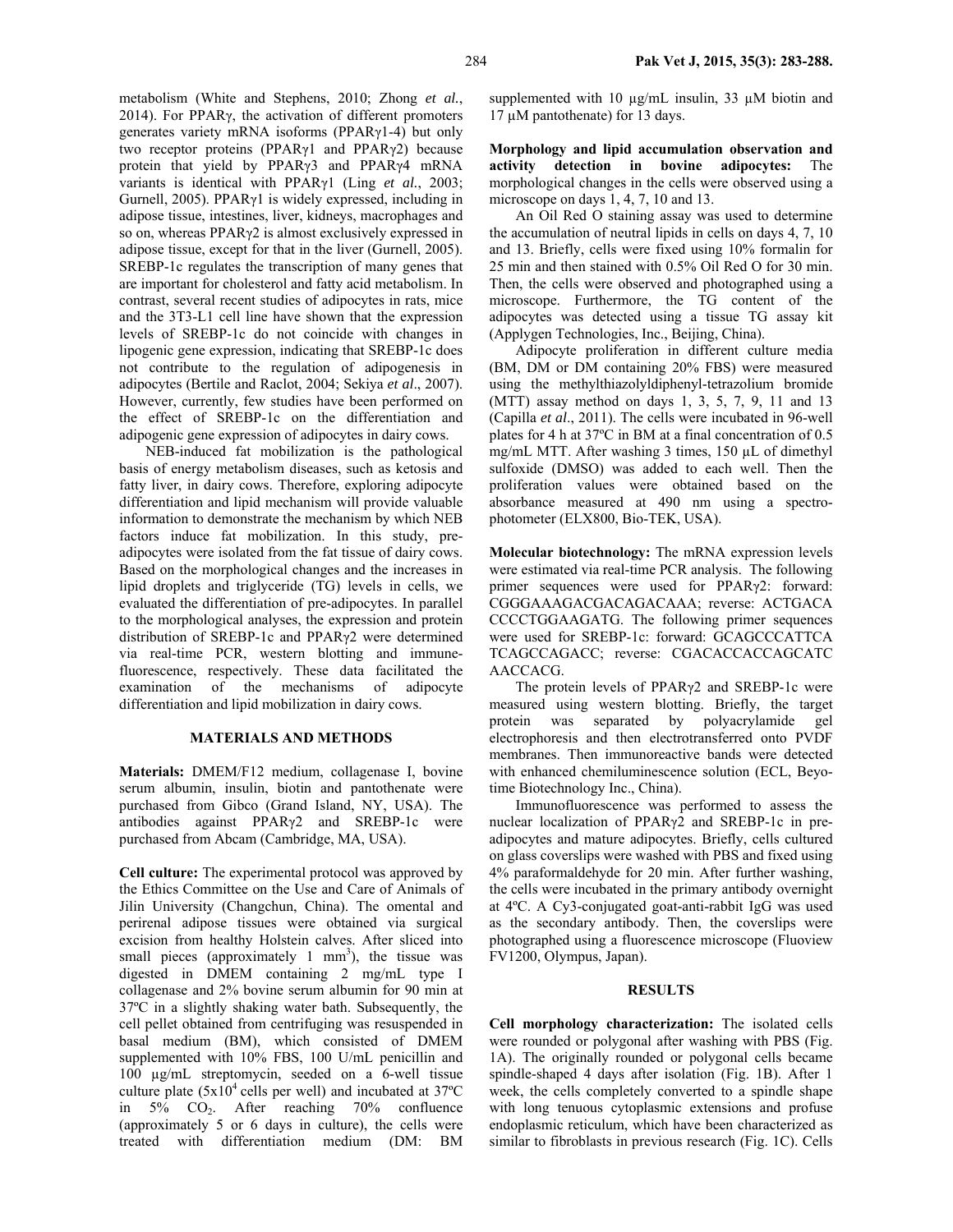metabolism (White and Stephens, 2010; Zhong *et al.*, 2014). For PPARγ, the activation of different promoters generates variety mRNA isoforms (PPARγ1-4) but only two receptor proteins (PPARγ1 and PPARγ2) because protein that yield by PPARγ3 and PPARγ4 mRNA variants is identical with PPARγ1 (Ling *et al.*, 2003; Gurnell, 2005). PPARγ1 is widely expressed, including in adipose tissue, intestines, liver, kidneys, macrophages and so on, whereas PPARγ2 is almost exclusively expressed in adipose tissue, except for that in the liver (Gurnell, 2005). SREBP-1c regulates the transcription of many genes that are important for cholesterol and fatty acid metabolism. In contrast, several recent studies of adipocytes in rats, mice and the 3T3-L1 cell line have shown that the expression levels of SREBP-1c do not coincide with changes in lipogenic gene expression, indicating that SREBP-1c does not contribute to the regulation of adipogenesis in adipocytes (Bertile and Raclot, 2004; Sekiya *et al*., 2007). However, currently, few studies have been performed on the effect of SREBP-1c on the differentiation and adipogenic gene expression of adipocytes in dairy cows.

NEB-induced fat mobilization is the pathological basis of energy metabolism diseases, such as ketosis and fatty liver, in dairy cows. Therefore, exploring adipocyte differentiation and lipid mechanism will provide valuable information to demonstrate the mechanism by which NEB factors induce fat mobilization. In this study, preadipocytes were isolated from the fat tissue of dairy cows. Based on the morphological changes and the increases in lipid droplets and triglyceride (TG) levels in cells, we evaluated the differentiation of pre-adipocytes. In parallel to the morphological analyses, the expression and protein distribution of SREBP-1c and PPARγ2 were determined via real-time PCR, western blotting and immunefluorescence, respectively. These data facilitated the examination of the mechanisms of adipocyte differentiation and lipid mobilization in dairy cows.

### **MATERIALS AND METHODS**

**Materials:** DMEM/F12 medium, collagenase I, bovine serum albumin, insulin, biotin and pantothenate were purchased from Gibco (Grand Island, NY, USA). The antibodies against PPARγ2 and SREBP-1c were purchased from Abcam (Cambridge, MA, USA).

**Cell culture:** The experimental protocol was approved by the Ethics Committee on the Use and Care of Animals of Jilin University (Changchun, China). The omental and perirenal adipose tissues were obtained via surgical excision from healthy Holstein calves. After sliced into small pieces (approximately  $1 \text{ mm}^3$ ), the tissue was digested in DMEM containing 2 mg/mL type I collagenase and 2% bovine serum albumin for 90 min at 37ºC in a slightly shaking water bath. Subsequently, the cell pellet obtained from centrifuging was resuspended in basal medium (BM), which consisted of DMEM supplemented with 10% FBS, 100 U/mL penicillin and 100 µg/mL streptomycin, seeded on a 6-well tissue culture plate  $(5x10^4 \text{ cells per well})$  and incubated at 37<sup>o</sup>C in 5% CO2. After reaching 70% confluence (approximately 5 or 6 days in culture), the cells were treated with differentiation medium (DM: BM

supplemented with 10  $\mu$ g/mL insulin, 33  $\mu$ M biotin and 17 µM pantothenate) for 13 days.

**Morphology and lipid accumulation observation and activity detection in bovine adipocytes:** The morphological changes in the cells were observed using a microscope on days 1, 4, 7, 10 and 13.

An Oil Red O staining assay was used to determine the accumulation of neutral lipids in cells on days 4, 7, 10 and 13. Briefly, cells were fixed using 10% formalin for 25 min and then stained with 0.5% Oil Red O for 30 min. Then, the cells were observed and photographed using a microscope. Furthermore, the TG content of the adipocytes was detected using a tissue TG assay kit (Applygen Technologies, Inc., Beijing, China).

Adipocyte proliferation in different culture media (BM, DM or DM containing 20% FBS) were measured using the methylthiazolyldiphenyl-tetrazolium bromide (MTT) assay method on days 1, 3, 5, 7, 9, 11 and 13 (Capilla *et al*., 2011). The cells were incubated in 96-well plates for 4 h at 37ºC in BM at a final concentration of 0.5 mg/mL MTT. After washing 3 times, 150 µL of dimethyl sulfoxide (DMSO) was added to each well. Then the proliferation values were obtained based on the absorbance measured at 490 nm using a spectrophotometer (ELX800, Bio-TEK, USA).

**Molecular biotechnology:** The mRNA expression levels were estimated via real-time PCR analysis. The following primer sequences were used for PPARγ2: forward: CGGGAAAGACGACAGACAAA; reverse: ACTGACA CCCCTGGAAGATG. The following primer sequences were used for SREBP-1c: forward: GCAGCCCATTCA TCAGCCAGACC; reverse: CGACACCACCAGCATC AACCACG.

The protein levels of PPARγ2 and SREBP-1c were measured using western blotting. Briefly, the target protein was separated by polyacrylamide gel electrophoresis and then electrotransferred onto PVDF membranes. Then immunoreactive bands were detected with enhanced chemiluminescence solution (ECL, Beyotime Biotechnology Inc., China).

Immunofluorescence was performed to assess the nuclear localization of PPARγ2 and SREBP-1c in preadipocytes and mature adipocytes. Briefly, cells cultured on glass coverslips were washed with PBS and fixed using 4% paraformaldehyde for 20 min. After further washing, the cells were incubated in the primary antibody overnight at 4ºC. A Cy3-conjugated goat-anti-rabbit IgG was used as the secondary antibody. Then, the coverslips were photographed using a fluorescence microscope (Fluoview FV1200, Olympus, Japan).

#### **RESULTS**

**Cell morphology characterization:** The isolated cells were rounded or polygonal after washing with PBS (Fig. 1A). The originally rounded or polygonal cells became spindle-shaped 4 days after isolation (Fig. 1B). After 1 week, the cells completely converted to a spindle shape with long tenuous cytoplasmic extensions and profuse endoplasmic reticulum, which have been characterized as similar to fibroblasts in previous research (Fig. 1C). Cells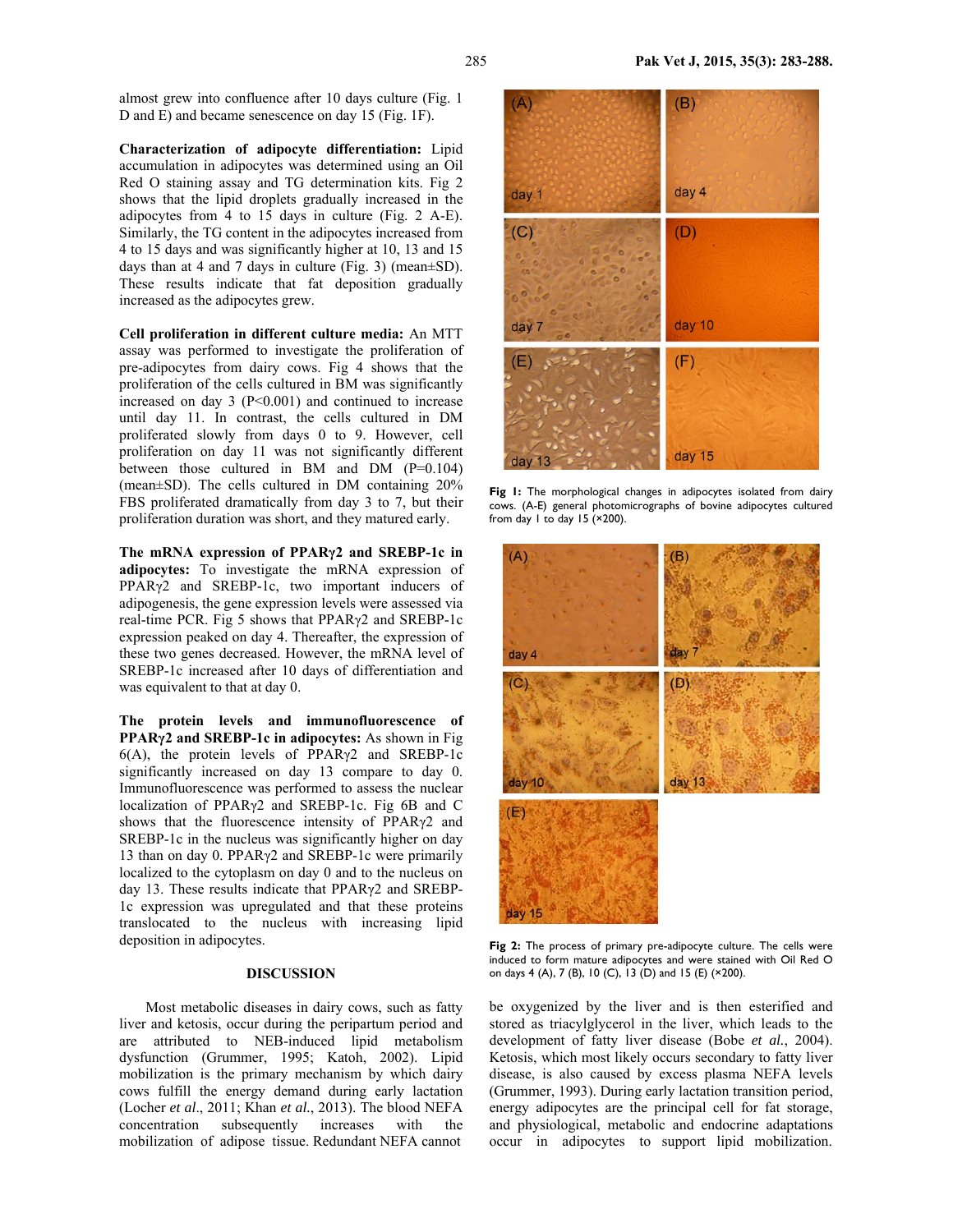almost grew into confluence after 10 days culture (Fig. 1 D and E) and became senescence on day 15 (Fig. 1F).

**Characterization of adipocyte differentiation:** Lipid accumulation in adipocytes was determined using an Oil Red O staining assay and TG determination kits. Fig 2 shows that the lipid droplets gradually increased in the adipocytes from 4 to 15 days in culture (Fig. 2 A-E). Similarly, the TG content in the adipocytes increased from 4 to 15 days and was significantly higher at 10, 13 and 15 days than at 4 and 7 days in culture (Fig. 3) (mean±SD). These results indicate that fat deposition gradually increased as the adipocytes grew.

**Cell proliferation in different culture media:** An MTT assay was performed to investigate the proliferation of pre-adipocytes from dairy cows. Fig 4 shows that the proliferation of the cells cultured in BM was significantly increased on day  $3$  (P<0.001) and continued to increase until day 11. In contrast, the cells cultured in DM proliferated slowly from days 0 to 9. However, cell proliferation on day 11 was not significantly different between those cultured in BM and DM (P=0.104) (mean±SD). The cells cultured in DM containing 20% FBS proliferated dramatically from day 3 to 7, but their proliferation duration was short, and they matured early.

**The mRNA expression of PPARγ2 and SREBP-1c in adipocytes:** To investigate the mRNA expression of PPARγ2 and SREBP-1c, two important inducers of adipogenesis, the gene expression levels were assessed via real-time PCR. Fig 5 shows that PPARγ2 and SREBP-1c expression peaked on day 4. Thereafter, the expression of these two genes decreased. However, the mRNA level of SREBP-1c increased after 10 days of differentiation and was equivalent to that at day 0.

**The protein levels and immunofluorescence of PPARγ2 and SREBP-1c in adipocytes:** As shown in Fig 6(A), the protein levels of PPARγ2 and SREBP-1c significantly increased on day 13 compare to day 0. Immunofluorescence was performed to assess the nuclear localization of PPARγ2 and SREBP-1c. Fig 6B and C shows that the fluorescence intensity of PPARγ2 and SREBP-1c in the nucleus was significantly higher on day 13 than on day 0. PPARγ2 and SREBP-1c were primarily localized to the cytoplasm on day 0 and to the nucleus on day 13. These results indicate that PPARγ2 and SREBP-1c expression was upregulated and that these proteins translocated to the nucleus with increasing lipid deposition in adipocytes.

# **DISCUSSION**

Most metabolic diseases in dairy cows, such as fatty liver and ketosis, occur during the peripartum period and are attributed to NEB-induced lipid metabolism dysfunction (Grummer, 1995; Katoh, 2002). Lipid mobilization is the primary mechanism by which dairy cows fulfill the energy demand during early lactation (Locher *et al*., 2011; Khan *et al.*, 2013). The blood NEFA concentration subsequently increases with the mobilization of adipose tissue. Redundant NEFA cannot



Fig 1: The morphological changes in adipocytes isolated from dairy cows. (A-E) general photomicrographs of bovine adipocytes cultured from day  $1$  to day  $15$  ( $\times$ 200).



**Fig 2:** The process of primary pre-adipocyte culture. The cells were induced to form mature adipocytes and were stained with Oil Red O on days 4 (A), 7 (B), 10 (C), 13 (D) and 15 (E) (×200).

be oxygenized by the liver and is then esterified and stored as triacylglycerol in the liver, which leads to the development of fatty liver disease (Bobe *et al.*, 2004). Ketosis, which most likely occurs secondary to fatty liver disease, is also caused by excess plasma NEFA levels (Grummer, 1993). During early lactation transition period, energy adipocytes are the principal cell for fat storage, and physiological, metabolic and endocrine adaptations occur in adipocytes to support lipid mobilization.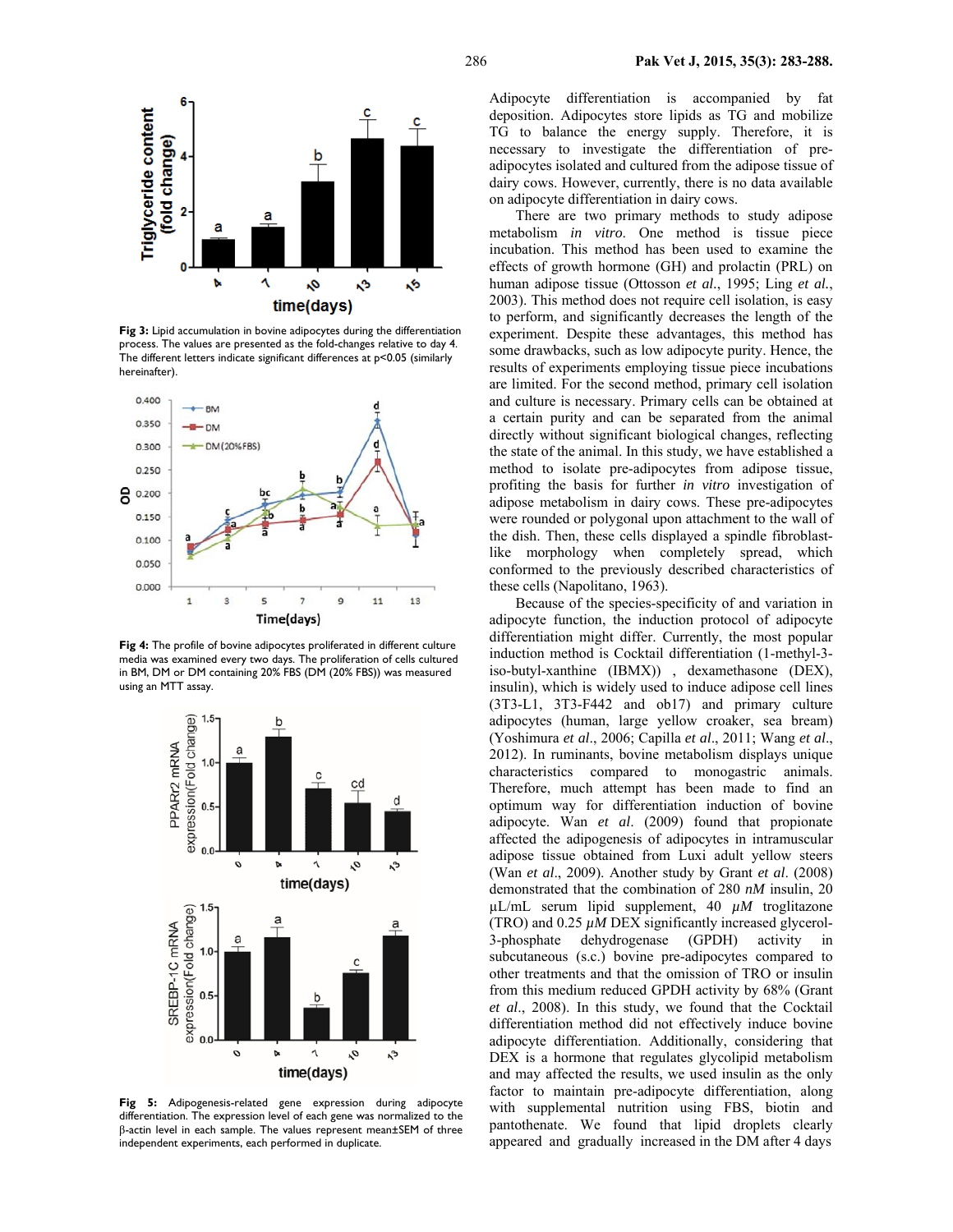

**Fig 3:** Lipid accumulation in bovine adipocytes during the differentiation process. The values are presented as the fold-changes relative to day 4. The different letters indicate significant differences at p<0.05 (similarly hereinafter).



**Fig 4:** The profile of bovine adipocytes proliferated in different culture media was examined every two days. The proliferation of cells cultured in BM, DM or DM containing 20% FBS (DM (20% FBS)) was measured using an MTT assay.



**Fig 5:** Adipogenesis-related gene expression during adipocyte differentiation. The expression level of each gene was normalized to the β-actin level in each sample. The values represent mean±SEM of three independent experiments, each performed in duplicate.

Adipocyte differentiation is accompanied by fat deposition. Adipocytes store lipids as TG and mobilize TG to balance the energy supply. Therefore, it is necessary to investigate the differentiation of preadipocytes isolated and cultured from the adipose tissue of dairy cows. However, currently, there is no data available on adipocyte differentiation in dairy cows.

There are two primary methods to study adipose metabolism *in vitro*. One method is tissue piece incubation. This method has been used to examine the effects of growth hormone (GH) and prolactin (PRL) on human adipose tissue (Ottosson *et al.*, 1995; Ling *et al.*, 2003). This method does not require cell isolation, is easy to perform, and significantly decreases the length of the experiment. Despite these advantages, this method has some drawbacks, such as low adipocyte purity. Hence, the results of experiments employing tissue piece incubations are limited. For the second method, primary cell isolation and culture is necessary. Primary cells can be obtained at a certain purity and can be separated from the animal directly without significant biological changes, reflecting the state of the animal. In this study, we have established a method to isolate pre-adipocytes from adipose tissue, profiting the basis for further *in vitro* investigation of adipose metabolism in dairy cows. These pre-adipocytes were rounded or polygonal upon attachment to the wall of the dish. Then, these cells displayed a spindle fibroblastlike morphology when completely spread, which conformed to the previously described characteristics of these cells (Napolitano, 1963).

Because of the species-specificity of and variation in adipocyte function, the induction protocol of adipocyte differentiation might differ. Currently, the most popular induction method is Cocktail differentiation (1-methyl-3 iso-butyl-xanthine (IBMX)) , dexamethasone (DEX), insulin), which is widely used to induce adipose cell lines (3T3-L1, 3T3-F442 and ob17) and primary culture adipocytes (human, large yellow croaker, sea bream) (Yoshimura *et al*., 2006; Capilla *et al*., 2011; Wang *et al*., 2012). In ruminants, bovine metabolism displays unique characteristics compared to monogastric animals. Therefore, much attempt has been made to find an optimum way for differentiation induction of bovine adipocyte. Wan *et al*. (2009) found that propionate affected the adipogenesis of adipocytes in intramuscular adipose tissue obtained from Luxi adult yellow steers (Wan *et al*., 2009). Another study by Grant *et al*. (2008) demonstrated that the combination of 280 *nM* insulin, 20 µL/mL serum lipid supplement, 40 *µM* troglitazone (TRO) and  $0.25 \mu M$  DEX significantly increased glycerol-3-phosphate dehydrogenase (GPDH) activity in subcutaneous (s.c.) bovine pre-adipocytes compared to other treatments and that the omission of TRO or insulin from this medium reduced GPDH activity by 68% (Grant *et al*., 2008). In this study, we found that the Cocktail differentiation method did not effectively induce bovine adipocyte differentiation. Additionally, considering that DEX is a hormone that regulates glycolipid metabolism and may affected the results, we used insulin as the only factor to maintain pre-adipocyte differentiation, along with supplemental nutrition using FBS, biotin and pantothenate. We found that lipid droplets clearly appeared and gradually increased in the DM after 4 days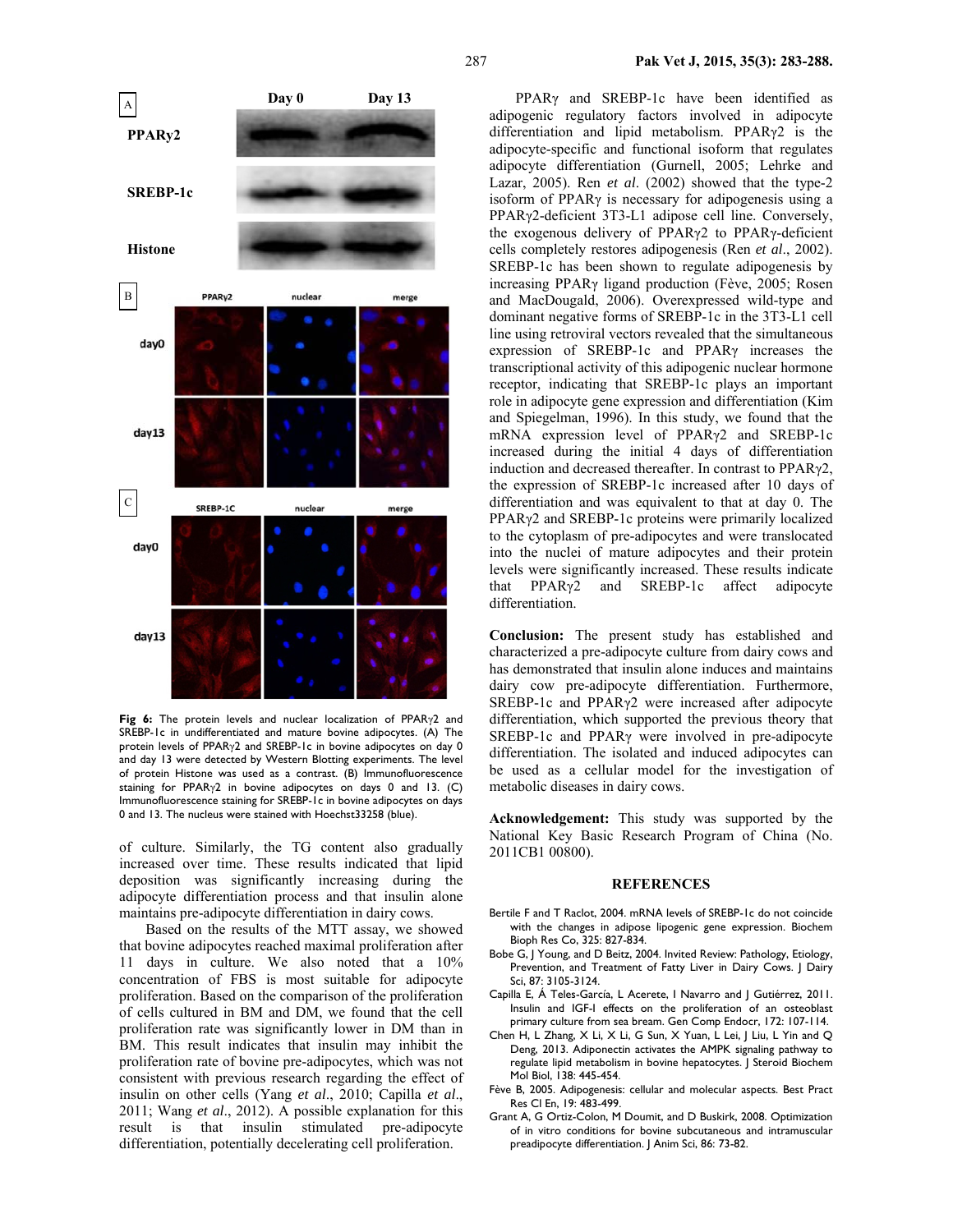**Day 0 Day 13**  A **PPARy2 SREBP-1c Histone**  B PPAR<sub>v2</sub> nuclea merge day0 day13  $\mathbf C$ SREBP-1C nuclear merge day0

**Fig 6:** The protein levels and nuclear localization of PPARγ2 and SREBP-1c in undifferentiated and mature bovine adipocytes. (A) The protein levels of PPARγ2 and SREBP-1c in bovine adipocytes on day 0 and day 13 were detected by Western Blotting experiments. The level of protein Histone was used as a contrast. (B) Immunofluorescence staining for PPARγ2 in bovine adipocytes on days 0 and 13. (C) Immunofluorescence staining for SREBP-1c in bovine adipocytes on days 0 and 13. The nucleus were stained with Hoechst33258 (blue).

day13

of culture. Similarly, the TG content also gradually increased over time. These results indicated that lipid deposition was significantly increasing during the adipocyte differentiation process and that insulin alone maintains pre-adipocyte differentiation in dairy cows.

Based on the results of the MTT assay, we showed that bovine adipocytes reached maximal proliferation after 11 days in culture. We also noted that a 10% concentration of FBS is most suitable for adipocyte proliferation. Based on the comparison of the proliferation of cells cultured in BM and DM, we found that the cell proliferation rate was significantly lower in DM than in BM. This result indicates that insulin may inhibit the proliferation rate of bovine pre-adipocytes, which was not consistent with previous research regarding the effect of insulin on other cells (Yang *et al*., 2010; Capilla *et al*., 2011; Wang *et al*., 2012). A possible explanation for this result is that insulin stimulated pre-adipocyte differentiation, potentially decelerating cell proliferation.

PPARγ and SREBP-1c have been identified as adipogenic regulatory factors involved in adipocyte differentiation and lipid metabolism. PPARγ2 is the adipocyte-specific and functional isoform that regulates adipocyte differentiation (Gurnell, 2005; Lehrke and Lazar, 2005). Ren *et al*. (2002) showed that the type-2 isoform of PPARγ is necessary for adipogenesis using a PPARγ2-deficient 3T3-L1 adipose cell line. Conversely, the exogenous delivery of PPARγ2 to PPARγ-deficient cells completely restores adipogenesis (Ren *et al*., 2002). SREBP-1c has been shown to regulate adipogenesis by increasing PPARγ ligand production (Fève, 2005; Rosen and MacDougald, 2006). Overexpressed wild-type and dominant negative forms of SREBP-1c in the 3T3-L1 cell line using retroviral vectors revealed that the simultaneous expression of SREBP-1c and PPARγ increases the transcriptional activity of this adipogenic nuclear hormone receptor, indicating that SREBP-1c plays an important role in adipocyte gene expression and differentiation (Kim and Spiegelman, 1996). In this study, we found that the mRNA expression level of PPARγ2 and SREBP-1c increased during the initial 4 days of differentiation induction and decreased thereafter. In contrast to PPARγ2, the expression of SREBP-1c increased after 10 days of differentiation and was equivalent to that at day 0. The PPARγ2 and SREBP-1c proteins were primarily localized to the cytoplasm of pre-adipocytes and were translocated into the nuclei of mature adipocytes and their protein levels were significantly increased. These results indicate that PPARγ2 and SREBP-1c affect adipocyte differentiation.

**Conclusion:** The present study has established and characterized a pre-adipocyte culture from dairy cows and has demonstrated that insulin alone induces and maintains dairy cow pre-adipocyte differentiation. Furthermore, SREBP-1c and PPARγ2 were increased after adipocyte differentiation, which supported the previous theory that SREBP-1c and PPARγ were involved in pre-adipocyte differentiation. The isolated and induced adipocytes can be used as a cellular model for the investigation of metabolic diseases in dairy cows.

**Acknowledgement:** This study was supported by the National Key Basic Research Program of China (No. 2011CB1 00800).

#### **REFERENCES**

- Bertile F and T Raclot, 2004. mRNA levels of SREBP-1c do not coincide with the changes in adipose lipogenic gene expression. Biochem Bioph Res Co, 325: 827-834.
- Bobe G, J Young, and D Beitz, 2004. Invited Review: Pathology, Etiology, Prevention, and Treatment of Fatty Liver in Dairy Cows. J Dairy Sci, 87: 3105-3124.
- Capilla E, Á Teles-García, L Acerete, I Navarro and J Gutiérrez, 2011. Insulin and IGF-I effects on the proliferation of an osteoblast primary culture from sea bream. Gen Comp Endocr, 172: 107-114.
- Chen H, L Zhang, X Li, X Li, G Sun, X Yuan, L Lei, J Liu, L Yin and Q Deng, 2013. Adiponectin activates the AMPK signaling pathway to regulate lipid metabolism in bovine hepatocytes. J Steroid Biochem Mol Biol, 138: 445-454.
- Fève B, 2005. Adipogenesis: cellular and molecular aspects. Best Pract Res Cl En, 19: 483-499.
- Grant A, G Ortiz-Colon, M Doumit, and D Buskirk, 2008. Optimization of in vitro conditions for bovine subcutaneous and intramuscular preadipocyte differentiation. J Anim Sci, 86: 73-82.